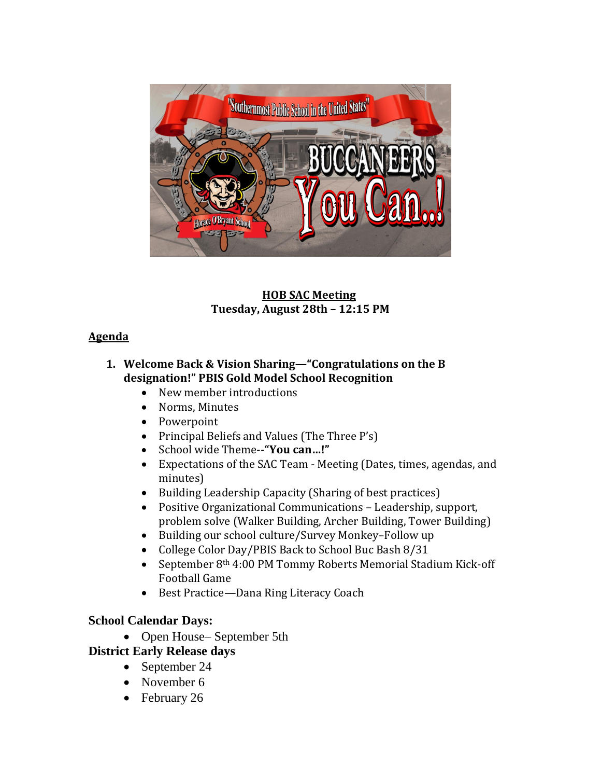

## **HOB SAC Meeting Tuesday, August 28th – 12:15 PM**

## **Agenda**

## **1. Welcome Back & Vision Sharing—"Congratulations on the B designation!" PBIS Gold Model School Recognition**

- New member introductions
- Norms, Minutes
- Powerpoint
- Principal Beliefs and Values (The Three P's)
- School wide Theme--**"You can…!"**
- Expectations of the SAC Team Meeting (Dates, times, agendas, and minutes)
- Building Leadership Capacity (Sharing of best practices)
- Positive Organizational Communications Leadership, support, problem solve (Walker Building, Archer Building, Tower Building)
- Building our school culture/Survey Monkey–Follow up
- College Color Day/PBIS Back to School Buc Bash 8/31
- September 8<sup>th</sup> 4:00 PM Tommy Roberts Memorial Stadium Kick-off Football Game
- Best Practice—Dana Ring Literacy Coach

# **School Calendar Days:**

• Open House– September 5th

# **District Early Release days**

- September 24
- November 6
- February 26